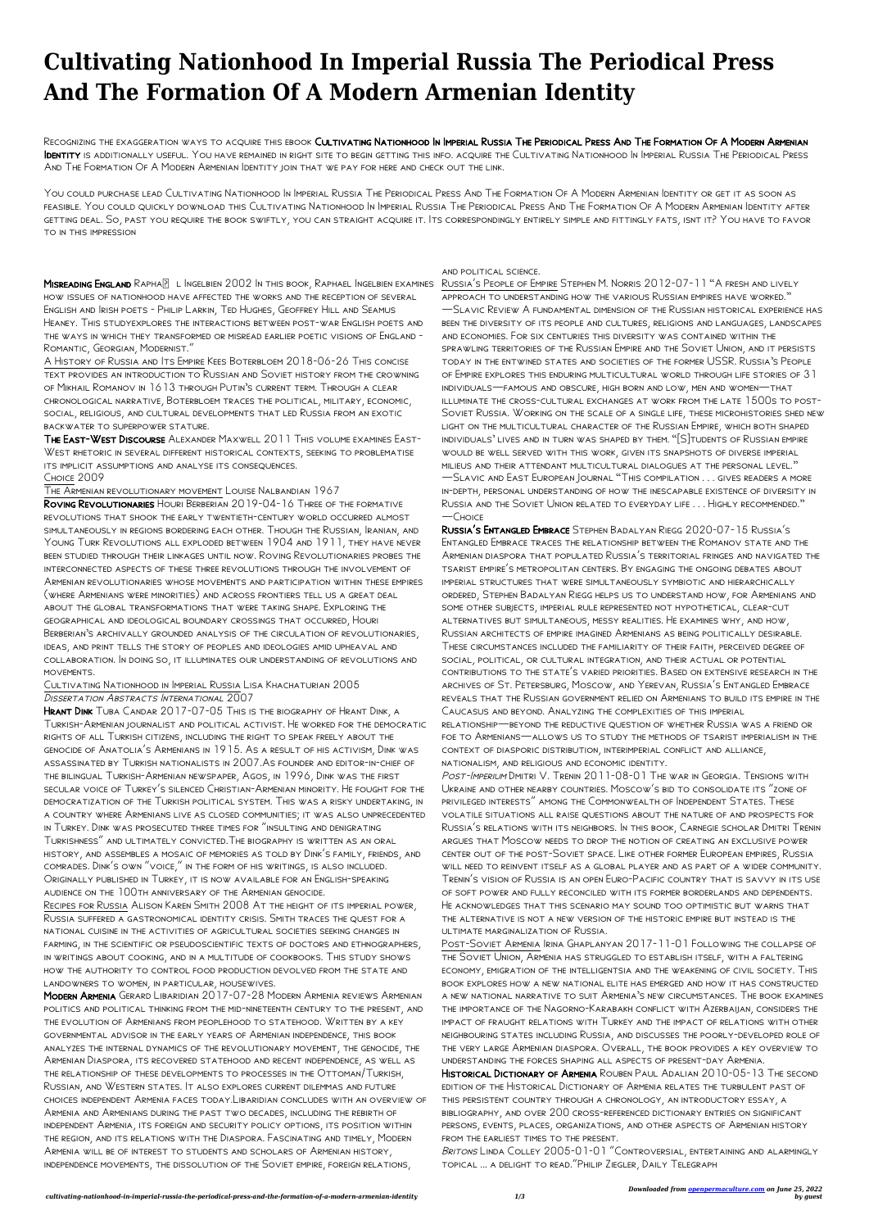## **Cultivating Nationhood In Imperial Russia The Periodical Press And The Formation Of A Modern Armenian Identity**

Recognizing the exaggeration ways to acquire this ebook Cultivating Nationhood In Imperial Russia The Periodical Press And The Formation Of A Modern Armenian Identity is additionally useful. You have remained in right site to begin getting this info. acquire the Cultivating Nationhood In Imperial Russia The Periodical Press And The Formation Of A Modern Armenian Identity join that we pay for here and check out the link.

MISREADING ENGLAND RAPHAP L INGELBIEN 2002 IN THIS BOOK, RAPHAEL INGELBIEN EXAMINES how issues of nationhood have affected the works and the reception of several English and Irish poets - Philip Larkin, Ted Hughes, Geoffrey Hill and Seamus Heaney. This studyexplores the interactions between post-war English poets and the ways in which they transformed or misread earlier poetic visions of England - Romantic, Georgian, Modernist."

You could purchase lead Cultivating Nationhood In Imperial Russia The Periodical Press And The Formation Of A Modern Armenian Identity or get it as soon as feasible. You could quickly download this Cultivating Nationhood In Imperial Russia The Periodical Press And The Formation Of A Modern Armenian Identity after getting deal. So, past you require the book swiftly, you can straight acquire it. Its correspondingly entirely simple and fittingly fats, isnt it? You have to favor to in this impression

## Cultivating Nationhood in Imperial Russia Lisa Khachaturian 2005 DISSERTATION ABSTRACTS INTERNATIONAL 2007

A History of Russia and Its Empire Kees Boterbloem 2018-06-26 This concise text provides an introduction to Russian and Soviet history from the crowning of Mikhail Romanov in 1613 through Putin's current term. Through a clear chronological narrative, Boterbloem traces the political, military, economic, social, religious, and cultural developments that led Russia from an exotic backwater to superpower stature.

The East-West Discourse Alexander Maxwell 2011 This volume examines East-West rhetoric in several different historical contexts, seeking to problematise its implicit assumptions and analyse its consequences. Choice 2009

HRANT DINK TUBA CANDAR 2017-07-05 THIS IS THE BIOGRAPHY OF HRANT DINK, A Turkish-Armenian journalist and political activist. He worked for the democratic rights of all Turkish citizens, including the right to speak freely about the genocide of Anatolia's Armenians in 1915. As a result of his activism, Dink was assassinated by Turkish nationalists in 2007.As founder and editor-in-chief of the bilingual Turkish-Armenian newspaper, Agos, in 1996, Dink was the first secular voice of Turkey's silenced Christian-Armenian minority. He fought for the democratization of the Turkish political system. This was a risky undertaking, in a country where Armenians live as closed communities; it was also unprecedented in Turkey. Dink was prosecuted three times for "insulting and denigrating Turkishness" and ultimately convicted.The biography is written as an oral history, and assembles a mosaic of memories as told by Dink's family, friends, and comrades. Dink's own "voice," in the form of his writings, is also included. Originally published in Turkey, it is now available for an English-speaking audience on the 100th anniversary of the Armenian genocide.

The Armenian revolutionary movement Louise Nalbandian 1967

Roving Revolutionaries Houri Berberian 2019-04-16 Three of the formative revolutions that shook the early twentieth-century world occurred almost simultaneously in regions bordering each other. Though the Russian, Iranian, and Young Turk Revolutions all exploded between 1904 and 1911, they have never been studied through their linkages until now. Roving Revolutionaries probes the interconnected aspects of these three revolutions through the involvement of Armenian revolutionaries whose movements and participation within these empires (where Armenians were minorities) and across frontiers tell us a great deal about the global transformations that were taking shape. Exploring the geographical and ideological boundary crossings that occurred, Houri Berberian's archivally grounded analysis of the circulation of revolutionaries, ideas, and print tells the story of peoples and ideologies amid upheaval and collaboration. In doing so, it illuminates our understanding of revolutions and movements.

Russia's People of Empire Stephen M. Norris 2012-07-11 "A fresh and lively approach to understanding how the various Russian empires have worked." —Slavic Review A fundamental dimension of the Russian historical experience has been the diversity of its people and cultures, religions and languages, landscapes and economies. For six centuries this diversity was contained within the sprawling territories of the Russian Empire and the Soviet Union, and it persists today in the entwined states and societies of the former USSR. Russia's People of Empire explores this enduring multicultural world through life stories of 31 individuals―famous and obscure, high born and low, men and women―that illuminate the cross-cultural exchanges at work from the late 1500s to post-Soviet Russia. Working on the scale of a single life, these microhistories shed new light on the multicultural character of the Russian Empire, which both shaped individuals' lives and in turn was shaped by them. "[S]tudents of Russian empire would be well served with this work, given its snapshots of diverse imperial milieus and their attendant multicultural dialogues at the personal level." —Slavic and East European Journal "This compilation . . . gives readers a more in-depth, personal understanding of how the inescapable existence of diversity in Russia and the Soviet Union related to everyday life . . . Highly recommended."  $-C$ HOICE

Recipes for Russia Alison Karen Smith 2008 At the height of its imperial power, Russia suffered a gastronomical identity crisis. Smith traces the quest for a

national cuisine in the activities of agricultural societies seeking changes in farming, in the scientific or pseudoscientific texts of doctors and ethnographers, in writings about cooking, and in a multitude of cookbooks. This study shows how the authority to control food production devolved from the state and landowners to women, in particular, housewives.

Modern Armenia Gerard Libaridian 2017-07-28 Modern Armenia reviews Armenian politics and political thinking from the mid-nineteenth century to the present, and the evolution of Armenians from peoplehood to statehood. Written by a key governmental advisor in the early years of Armenian independence, this book analyzes the internal dynamics of the revolutionary movement, the genocide, the Armenian Diaspora, its recovered statehood and recent independence, as well as the relationship of these developments to processes in the Ottoman/Turkish, Russian, and Western states. It also explores current dilemmas and future choices independent Armenia faces today.Libaridian concludes with an overview of Armenia and Armenians during the past two decades, including the rebirth of independent Armenia, its foreign and security policy options, its position within the region, and its relations with the Diaspora. Fascinating and timely, Modern Armenia will be of interest to students and scholars of Armenian history, independence movements, the dissolution of the Soviet empire, foreign relations,

## and political science.

Russia's Entangled Embrace Stephen Badalyan Riegg 2020-07-15 Russia's Entangled Embrace traces the relationship between the Romanov state and the Armenian diaspora that populated Russia's territorial fringes and navigated the tsarist empire's metropolitan centers. By engaging the ongoing debates about imperial structures that were simultaneously symbiotic and hierarchically ordered, Stephen Badalyan Riegg helps us to understand how, for Armenians and some other subjects, imperial rule represented not hypothetical, clear-cut alternatives but simultaneous, messy realities. He examines why, and how, Russian architects of empire imagined Armenians as being politically desirable. These circumstances included the familiarity of their faith, perceived degree of social, political, or cultural integration, and their actual or potential contributions to the state's varied priorities. Based on extensive research in the archives of St. Petersburg, Moscow, and Yerevan, Russia's Entangled Embrace reveals that the Russian government relied on Armenians to build its empire in the Caucasus and beyond. Analyzing the complexities of this imperial relationship—beyond the reductive question of whether Russia was a friend or

foe to Armenians—allows us to study the methods of tsarist imperialism in the context of diasporic distribution, interimperial conflict and alliance, nationalism, and religious and economic identity.

Post-Imperium Dmitri V. Trenin 2011-08-01 The war in Georgia. Tensions with Ukraine and other nearby countries. Moscow's bid to consolidate its "zone of privileged interests" among the Commonwealth of Independent States. These volatile situations all raise questions about the nature of and prospects for Russia's relations with its neighbors. In this book, Carnegie scholar Dmitri Trenin argues that Moscow needs to drop the notion of creating an exclusive power center out of the post-Soviet space. Like other former European empires, Russia will need to reinvent itself as a global player and as part of a wider community. Trenin's vision of Russia is an open Euro-Pacific country that is savvy in its use of soft power and fully reconciled with its former borderlands and dependents. He acknowledges that this scenario may sound too optimistic but warns that the alternative is not a new version of the historic empire but instead is the

ultimate marginalization of Russia.

Post-Soviet Armenia Irina Ghaplanyan 2017-11-01 Following the collapse of the Soviet Union, Armenia has struggled to establish itself, with a faltering economy, emigration of the intelligentsia and the weakening of civil society. This book explores how a new national elite has emerged and how it has constructed a new national narrative to suit Armenia's new circumstances. The book examines the importance of the Nagorno-Karabakh conflict with Azerbaijan, considers the impact of fraught relations with Turkey and the impact of relations with other neighbouring states including Russia, and discusses the poorly-developed role of the very large Armenian diaspora. Overall, the book provides a key overview to understanding the forces shaping all aspects of present-day Armenia. Historical Dictionary of Armenia Rouben Paul Adalian 2010-05-13 The second edition of the Historical Dictionary of Armenia relates the turbulent past of this persistent country through a chronology, an introductory essay, a bibliography, and over 200 cross-referenced dictionary entries on significant persons, events, places, organizations, and other aspects of Armenian history from the earliest times to the present.

Britons Linda Colley 2005-01-01 "Controversial, entertaining and alarmingly topical ... a delight to read."Philip Ziegler, Daily Telegraph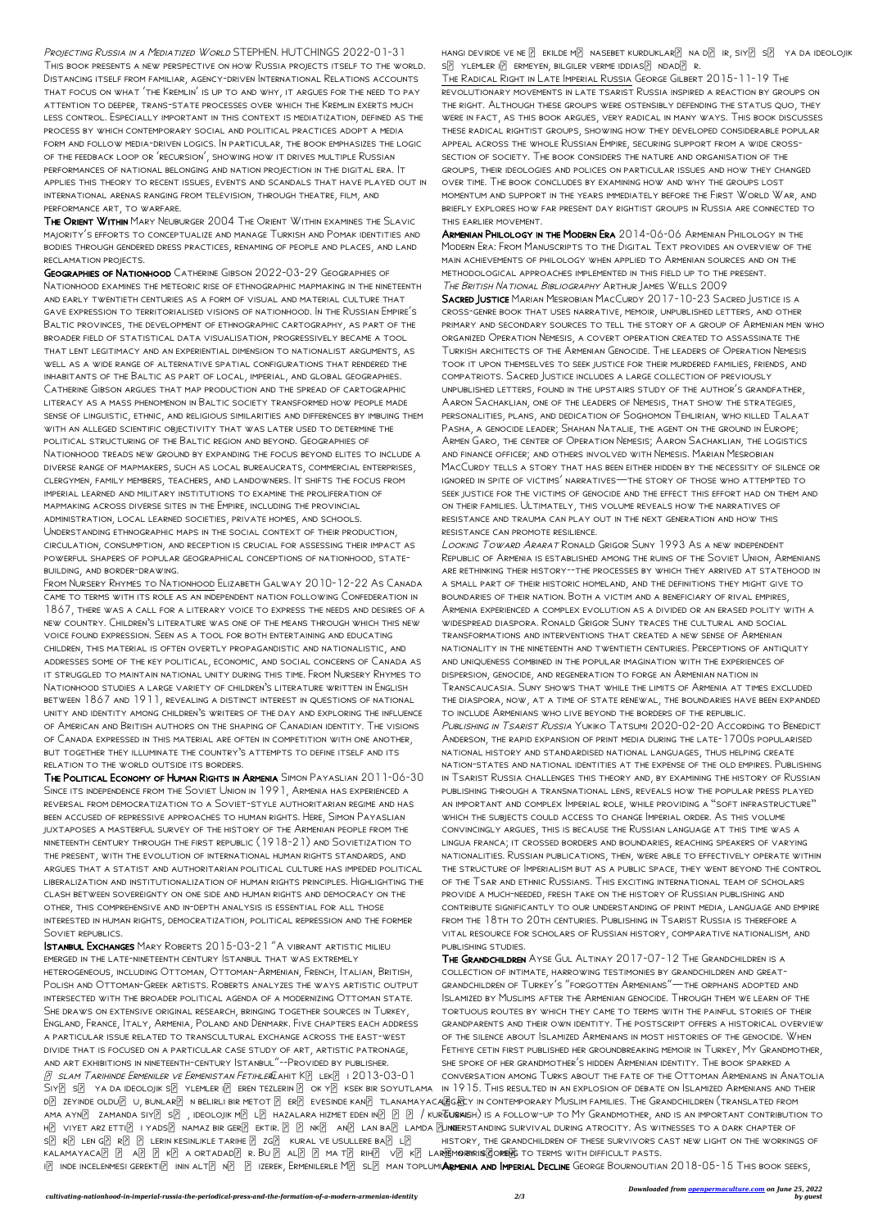PROJECTING RUSSIA IN A MEDIATIZED WORLD STEPHEN. HUTCHINGS 2022-01-31 This book presents a new perspective on how Russia projects itself to the world. Distancing itself from familiar, agency-driven International Relations accounts that focus on what 'the Kremlin' is up to and why, it argues for the need to pay attention to deeper, trans-state processes over which the Kremlin exerts much less control. Especially important in this context is mediatization, defined as the process by which contemporary social and political practices adopt a media form and follow media-driven logics. In particular, the book emphasizes the logic of the feedback loop or 'recursion', showing how it drives multiple Russian performances of national belonging and nation projection in the digital era. It applies this theory to recent issues, events and scandals that have played out in international arenas ranging from television, through theatre, film, and performance art, to warfare.

The Orient Within Mary Neuburger 2004 The Orient Within examines the Slavic majority's efforts to conceptualize and manage Turkish and Pomak identities and bodies through gendered dress practices, renaming of people and places, and land reclamation projects.

Geographies of Nationhood Catherine Gibson 2022-03-29 Geographies of Nationhood examines the meteoric rise of ethnographic mapmaking in the nineteenth and early twentieth centuries as a form of visual and material culture that gave expression to territorialised visions of nationhood. In the Russian Empire's Baltic provinces, the development of ethnographic cartography, as part of the broader field of statistical data visualisation, progressively became a tool that lent legitimacy and an experiential dimension to nationalist arguments, as well as a wide range of alternative spatial configurations that rendered the inhabitants of the Baltic as part of local, imperial, and global geographies. Catherine Gibson argues that map production and the spread of cartographic literacy as a mass phenomenon in Baltic society transformed how people made sense of linguistic, ethnic, and religious similarities and differences by imbuing them with an alleged scientific objectivity that was later used to determine the political structuring of the Baltic region and beyond. Geographies of Nationhood treads new ground by expanding the focus beyond elites to include a diverse range of mapmakers, such as local bureaucrats, commercial enterprises, clergymen, family members, teachers, and landowners. It shifts the focus from imperial learned and military institutions to examine the proliferation of mapmaking across diverse sites in the Empire, including the provincial administration, local learned societies, private homes, and schools. Understanding ethnographic maps in the social context of their production, circulation, consumption, and reception is crucial for assessing their impact as powerful shapers of popular geographical conceptions of nationhood, statebuilding, and border-drawing.

From Nursery Rhymes to Nationhood Elizabeth Galway 2010-12-22 As Canada came to terms with its role as an independent nation following Confederation in 1867, there was a call for a literary voice to express the needs and desires of a new country. Children's literature was one of the means through which this new voice found expression. Seen as a tool for both entertaining and educating children, this material is often overtly propagandistic and nationalistic, and addresses some of the key political, economic, and social concerns of Canada as it struggled to maintain national unity during this time. From Nursery Rhymes to Nationhood studies a large variety of children's literature written in English between 1867 and 1911, revealing a distinct interest in questions of national unity and identity among children's writers of the day and exploring the influence of American and British authors on the shaping of Canadian identity. The visions of Canada expressed in this material are often in competition with one another, but together they illuminate the country's attempts to define itself and its relation to the world outside its borders.

The Political Economy of Human Rights in Armenia Simon Payaslian 2011-06-30 Since its independence from the Soviet Union in 1991, Armenia has experienced a reversal from democratization to a Soviet-style authoritarian regime and has been accused of repressive approaches to human rights. Here, Simon Payaslian juxtaposes a masterful survey of the history of the Armenian people from the nineteenth century through the first republic (1918-21) and Sovietization to the present, with the evolution of international human rights standards, and argues that a statist and authoritarian political culture has impeded political liberalization and institutionalization of human rights principles. Highlighting the clash between sovereignty on one side and human rights and democracy on the other, this comprehensive and in-depth analysis is essential for all those interested in human rights, democratization, political repression and the former

HANGI DEVIRDE VE NE  $\boxed{?}$  EKILDE M $\boxed{?}$  NASEBET KURDUKLAR $\boxed{?}$  NA D $\boxed{?}$  IR, SIY $\boxed{?}$  S $\boxed{?}$  YA DA IDEOLOJIK  $S[\overline{P}]$  YLEMLER I $[\overline{P}]$  ERMEYEN, BILGILER VERME IDDIAS $[\overline{P}]$  NDAD $[\overline{P}]$  R.

The Radical Right in Late Imperial Russia George Gilbert 2015-11-19 The revolutionary movements in late tsarist Russia inspired a reaction by groups on the right. Although these groups were ostensibly defending the status quo, they were in fact, as this book argues, very radical in many ways. This book discusses these radical rightist groups, showing how they developed considerable popular appeal across the whole Russian Empire, securing support from a wide crosssection of society. The book considers the nature and organisation of the groups, their ideologies and polices on particular issues and how they changed over time. The book concludes by examining how and why the groups lost momentum and support in the years immediately before the First World War, and briefly explores how far present day rightist groups in Russia are connected to this earlier movement.

Armenian Philology in the Modern Era 2014-06-06 Armenian Philology in the Modern Era: From Manuscripts to the Digital Text provides an overview of the main achievements of philology when applied to Armenian sources and on the methodological approaches implemented in this field up to the present. The British National Bibliography Arthur James Wells 2009

Sacred Justice Marian Mesrobian MacCurdy 2017-10-23 Sacred Justice is a cross-genre book that uses narrative, memoir, unpublished letters, and other primary and secondary sources to tell the story of a group of Armenian men who organized Operation Nemesis, a covert operation created to assassinate the Turkish architects of the Armenian Genocide. The leaders of Operation Nemesis took it upon themselves to seek justice for their murdered families, friends, and compatriots. Sacred Justice includes a large collection of previously unpublished letters, found in the upstairs study of the author's grandfather, Aaron Sachaklian, one of the leaders of Nemesis, that show the strategies, personalities, plans, and dedication of Soghomon Tehlirian, who killed Talaat PASHA, A GENOCIDE LEADER; SHAHAN NATALIE, THE AGENT ON THE GROUND IN EUROPE; Armen Garo, the center of Operation Nemesis; Aaron Sachaklian, the logistics and finance officer; and others involved with Nemesis. Marian Mesrobian MacCurdy tells a story that has been either hidden by the necessity of silence or ignored in spite of victims' narratives—the story of those who attempted to seek justice for the victims of genocide and the effect this effort had on them and on their families. Ultimately, this volume reveals how the narratives of resistance and trauma can play out in the next generation and how this resistance can promote resilience.

Istanbul Exchanges Mary Roberts 2015-03-21 "A vibrant artistic milieu emerged in the late-nineteenth century Istanbul that was extremely heterogeneous, including Ottoman, Ottoman-Armenian, French, Italian, British, Polish and Ottoman-Greek artists. Roberts analyzes the ways artistic output intersected with the broader political agenda of a modernizing Ottoman state. She draws on extensive original research, bringing together sources in Turkey, England, France, Italy, Armenia, Poland and Denmark. Five chapters each address a particular issue related to transcultural exchange across the east-west divide that is focused on a particular case study of art, artistic patronage, and art exhibitions in nineteenth-century Istanbul"--Provided by publisher. 8 SLAM TARIHINDE ERMENILER VE ERMENISTAN FETIHLERIAHIT KR LEKR 12013-03-01 Siy[?] s[?] ya da ideolojik s[?] ylemler i[?] eren tezlerin [?] ok y[?] ksek bir soyutlama in 1915. This resulted in an explosion of debate on Islamized Armenians and their d[?] zeyinde oldu[?] u, bunlar[?] n belirli bir metot [?] er[?] evesinde kan[?] tlanamayaca[]G@Y in contemporary Muslim families. The Grandchildren (translated from ama ayn $\boxdot$  zamanda siy $\boxdot$  s $\boxdot$  , ideolojik m $\boxdot$  l $\boxdot$  hazalara hizmet eden in $\boxdot$   $\boxdot$   $\boxdot$  / kur**tusai**sh) is a follow-up to My Grandmother, and is an important contribution to h[?] viyet arz etti[?] i yads[?] namaz bir ger[?] ektir. [?] [?] nk[?] an[?] lam ba[?] lamda [?]u**nde**rstanding survival during atrocity. As witnesses to a dark chapter of  $S[\overline{2}]$  R $[\overline{2}]$  LEN G $[\overline{2}]$  R $[\overline{2}]$  LERIN KESINLIKLE TARIHE  $[\overline{2}]$  ZG $[\overline{2}]$  KURAL VE USULLERE BA $[\overline{2}]$  L $[\overline{2}]$ kalamayaca만 만 a만 만 k만 a ortadad만 r. Bu 만 al만 만 ma t만 rih만 v만 k만 la**rਯimoryris@oren**s to terms with difficult pasts. ID INDE INCELENMESI GEREKTID ININ ALT[?] N[?] [?] IZEREK, ERMENILERLE M[?] SL[?] MAN TOPLUM**UARMENIA AND IMPERIAL DECLINE** GEORGE BOURNOUTIAN 2018-05-15 THIS BOOK SEEKS, publishing studies. The Grandchildren Ayse Gul Altinay 2017-07-12 The Grandchildren is a collection of intimate, harrowing testimonies by grandchildren and greatgrandchildren of Turkey's "forgotten Armenians"—the orphans adopted and Islamized by Muslims after the Armenian genocide. Through them we learn of the tortuous routes by which they came to terms with the painful stories of their grandparents and their own identity. The postscript offers a historical overview of the silence about Islamized Armenians in most histories of the genocide. When Fethiye cetin first published her groundbreaking memoir in Turkey, My Grandmother, she spoke of her grandmother's hidden Armenian identity. The book sparked a conversation among Turks about the fate of the Ottoman Armenians in Anatolia history, the grandchildren of these survivors cast new light on the workings of

Looking Toward Ararat Ronald Grigor Suny 1993 As a new independent Republic of Armenia is established among the ruins of the Soviet Union, Armenians are rethinking their history--the processes by which they arrived at statehood in a small part of their historic homeland, and the definitions they might give to boundaries of their nation. Both a victim and a beneficiary of rival empires, Armenia experienced a complex evolution as a divided or an erased polity with a widespread diaspora. Ronald Grigor Suny traces the cultural and social transformations and interventions that created a new sense of Armenian nationality in the nineteenth and twentieth centuries. Perceptions of antiquity and uniqueness combined in the popular imagination with the experiences of dispersion, genocide, and regeneration to forge an Armenian nation in Transcaucasia. Suny shows that while the limits of Armenia at times excluded the diaspora, now, at a time of state renewal, the boundaries have been expanded to include Armenians who live beyond the borders of the republic. PUBLISHING IN TSARIST RUSSIA YUKIKO TATSUMI 2020-02-20 ACCORDING TO BENEDICT Anderson, the rapid expansion of print media during the late-1700s popularised national history and standardised national languages, thus helping create nation-states and national identities at the expense of the old empires. Publishing in Tsarist Russia challenges this theory and, by examining the history of Russian publishing through a transnational lens, reveals how the popular press played an important and complex Imperial role, while providing a "soft infrastructure" which the subjects could access to change Imperial order. As this volume convincingly argues, this is because the Russian language at this time was a lingua franca; it crossed borders and boundaries, reaching speakers of varying nationalities. Russian publications, then, were able to effectively operate within the structure of Imperialism but as a public space, they went beyond the control of the Tsar and ethnic Russians. This exciting international team of scholars provide a much-needed, fresh take on the history of Russian publishing and contribute significantly to our understanding of print media, language and empire from the 18th to 20th centuries. Publishing in Tsarist Russia is therefore a

vital resource for scholars of Russian history, comparative nationalism, and

Soviet REPUBLICS.